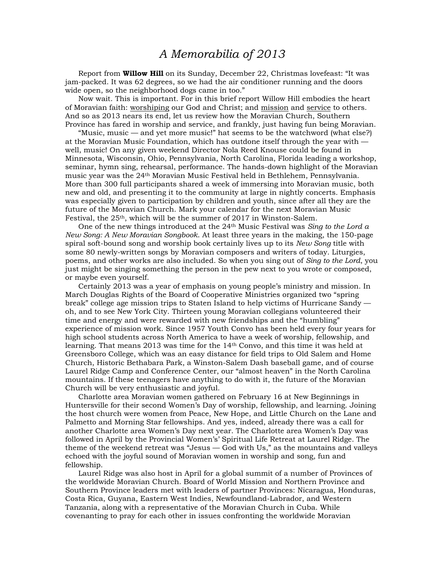## *A Memorabilia of 2013*

 Report from **Willow Hill** on its Sunday, December 22, Christmas lovefeast: "It was jam-packed. It was 62 degrees, so we had the air conditioner running and the doors wide open, so the neighborhood dogs came in too."

 Now wait. This is important. For in this brief report Willow Hill embodies the heart of Moravian faith: worshiping our God and Christ; and mission and service to others. And so as 2013 nears its end, let us review how the Moravian Church, Southern Province has fared in worship and service, and frankly, just having fun being Moravian.

 "Music, music — and yet more music!" hat seems to be the watchword (what else?) at the Moravian Music Foundation, which has outdone itself through the year with well, music! On any given weekend Director Nola Reed Knouse could be found in Minnesota, Wisconsin, Ohio, Pennsylvania, North Carolina, Florida leading a workshop, seminar, hymn sing, rehearsal, performance. The hands-down highlight of the Moravian music year was the 24th Moravian Music Festival held in Bethlehem, Pennsylvania. More than 300 full participants shared a week of immersing into Moravian music, both new and old, and presenting it to the community at large in nightly concerts. Emphasis was especially given to participation by children and youth, since after all they are the future of the Moravian Church. Mark your calendar for the next Moravian Music Festival, the  $25<sup>th</sup>$ , which will be the summer of  $2017$  in Winston-Salem.

 One of the new things introduced at the 24th Music Festival was *Sing to the Lord a New Song: A New Moravian Songbook*. At least three years in the making, the 150-page spiral soft-bound song and worship book certainly lives up to its *New Song* title with some 80 newly-written songs by Moravian composers and writers of today. Liturgies, poems, and other works are also included. So when you sing out of *Sing to the Lord*, you just might be singing something the person in the pew next to you wrote or composed, or maybe even yourself.

 Certainly 2013 was a year of emphasis on young people's ministry and mission. In March Douglas Rights of the Board of Cooperative Ministries organized two "spring break" college age mission trips to Staten Island to help victims of Hurricane Sandy oh, and to see New York City. Thirteen young Moravian collegians volunteered their time and energy and were rewarded with new friendships and the "humbling" experience of mission work. Since 1957 Youth Convo has been held every four years for high school students across North America to have a week of worship, fellowship, and learning. That means 2013 was time for the 14th Convo, and this time it was held at Greensboro College, which was an easy distance for field trips to Old Salem and Home Church, Historic Bethabara Park, a Winston-Salem Dash baseball game, and of course Laurel Ridge Camp and Conference Center, our "almost heaven" in the North Carolina mountains. If these teenagers have anything to do with it, the future of the Moravian Church will be very enthusiastic and joyful.

 Charlotte area Moravian women gathered on February 16 at New Beginnings in Huntersville for their second Women's Day of worship, fellowship, and learning. Joining the host church were women from Peace, New Hope, and Little Church on the Lane and Palmetto and Morning Star fellowships. And yes, indeed, already there was a call for another Charlotte area Women's Day next year. The Charlotte area Women's Day was followed in April by the Provincial Women's' Spiritual Life Retreat at Laurel Ridge. The theme of the weekend retreat was "Jesus — God with Us," as the mountains and valleys echoed with the joyful sound of Moravian women in worship and song, fun and fellowship.

 Laurel Ridge was also host in April for a global summit of a number of Provinces of the worldwide Moravian Church. Board of World Mission and Northern Province and Southern Province leaders met with leaders of partner Provinces: Nicaragua, Honduras, Costa Rica, Guyana, Eastern West Indies, Newfoundland-Labrador, and Western Tanzania, along with a representative of the Moravian Church in Cuba. While covenanting to pray for each other in issues confronting the worldwide Moravian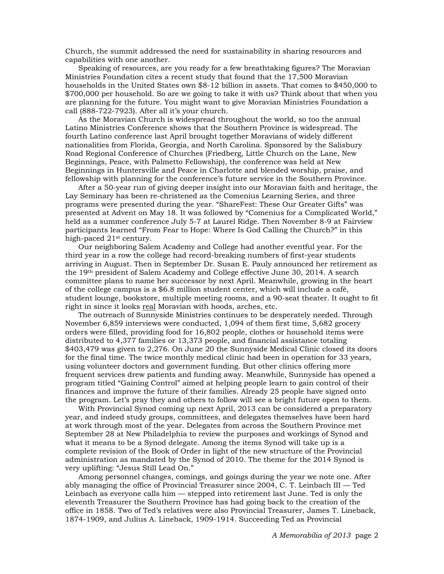Church, the summit addressed the need for sustainability in sharing resources and capabilities with one another.

 Speaking of resources, are you ready for a few breathtaking figures? The Moravian Ministries Foundation cites a recent study that found that the 17,500 Moravian households in the United States own \$8-12 billion in assets. That comes to \$450,000 to \$700,000 per household. So are we going to take it with us? Think about that when you are planning for the future. You might want to give Moravian Ministries Foundation a call (888-722-7923). After all it's your church.

 As the Moravian Church is widespread throughout the world, so too the annual Latino Ministries Conference shows that the Southern Province is widespread. The fourth Latino conference last April brought together Moravians of widely different nationalities from Florida, Georgia, and North Carolina. Sponsored by the Salisbury Road Regional Conference of Churches (Friedberg, Little Church on the Lane, New Beginnings, Peace, with Palmetto Fellowship), the conference was held at New Beginnings in Huntersville and Peace in Charlotte and blended worship, praise, and fellowship with planning for the conference's future service in the Southern Province.

 After a 50-year run of giving deeper insight into our Moravian faith and heritage, the Lay Seminary has been re-christened as the Comenius Learning Series, and three programs were presented during the year. "ShareFest: These Our Greater Gifts" was presented at Advent on May 18. It was followed by "Comenius for a Complicated World," held as a summer conference July 5-7 at Laurel Ridge. Then November 8-9 at Fairview participants learned "From Fear to Hope: Where Is God Calling the Church?" in this high-paced 21st century.

 Our neighboring Salem Academy and College had another eventful year. For the third year in a row the college had record-breaking numbers of first-year students arriving in August. Then in September Dr. Susan E. Pauly announced her retirement as the 19th president of Salem Academy and College effective June 30, 2014. A search committee plans to name her successor by next April. Meanwhile, growing in the heart of the college campus is a \$6.8 million student center, which will include a café, student lounge, bookstore, multiple meeting rooms, and a 90-seat theater. It ought to fit right in since it looks real Moravian with hoods, arches, etc.

 The outreach of Sunnyside Ministries continues to be desperately needed. Through November 6,859 interviews were conducted, 1,094 of them first time, 5,682 grocery orders were filled, providing food for 16,802 people, clothes or household items were distributed to 4,377 families or 13,373 people, and financial assistance totaling \$403,479 was given to 2,276. On June 20 the Sunnyside Medical Clinic closed its doors for the final time. The twice monthly medical clinic had been in operation for 33 years, using volunteer doctors and government funding. But other clinics offering more frequent services drew patients and funding away. Meanwhile, Sunnyside has opened a program titled "Gaining Control" aimed at helping people learn to gain control of their finances and improve the future of their families. Already 25 people have signed onto the program. Let's pray they and others to follow will see a bright future open to them.

 With Provincial Synod coming up next April, 2013 can be considered a preparatory year, and indeed study groups, committees, and delegates themselves have been hard at work through most of the year. Delegates from across the Southern Province met September 28 at New Philadelphia to review the purposes and workings of Synod and what it means to be a Synod delegate. Among the items Synod will take up is a complete revision of the Book of Order in light of the new structure of the Provincial administration as mandated by the Synod of 2010. The theme for the 2014 Synod is very uplifting: "Jesus Still Lead On."

 Among personnel changes, comings, and goings during the year we note one. After ably managing the office of Provincial Treasurer since 2004, C. T. Leinbach III — Ted Leinbach as everyone calls him — stepped into retirement last June. Ted is only the eleventh Treasurer the Southern Province has had going back to the creation of the office in 1858. Two of Ted's relatives were also Provincial Treasurer, James T. Lineback, 1874-1909, and Julius A. Lineback, 1909-1914. Succeeding Ted as Provincial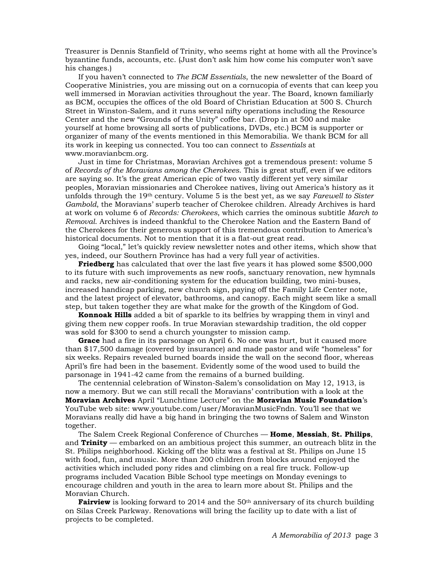Treasurer is Dennis Stanfield of Trinity, who seems right at home with all the Province's byzantine funds, accounts, etc. (Just don't ask him how come his computer won't save his changes.)

 If you haven't connected to *The BCM Essentials*, the new newsletter of the Board of Cooperative Ministries, you are missing out on a cornucopia of events that can keep you well immersed in Moravian activities throughout the year. The Board, known familiarly as BCM, occupies the offices of the old Board of Christian Education at 500 S. Church Street in Winston-Salem, and it runs several nifty operations including the Resource Center and the new "Grounds of the Unity" coffee bar. (Drop in at 500 and make yourself at home browsing all sorts of publications, DVDs, etc.) BCM is supporter or organizer of many of the events mentioned in this Memorabilia. We thank BCM for all its work in keeping us connected. You too can connect to *Essentials* at www.moravianbcm.org.

 Just in time for Christmas, Moravian Archives got a tremendous present: volume 5 of *Records of the Moravians among the Cherokees*. This is great stuff, even if we editors are saying so. It's the great American epic of two vastly different yet very similar peoples, Moravian missionaries and Cherokee natives, living out America's history as it unfolds through the 19th century. Volume 5 is the best yet, as we say *Farewell to Sister Gambold*, the Moravians' superb teacher of Cherokee children. Already Archives is hard at work on volume 6 of *Records: Cherokees*, which carries the ominous subtitle *March to Removal*. Archives is indeed thankful to the Cherokee Nation and the Eastern Band of the Cherokees for their generous support of this tremendous contribution to America's historical documents. Not to mention that it is a flat-out great read.

 Going "local," let's quickly review newsletter notes and other items, which show that yes, indeed, our Southern Province has had a very full year of activities.

**Friedberg** has calculated that over the last five years it has plowed some \$500,000 to its future with such improvements as new roofs, sanctuary renovation, new hymnals and racks, new air-conditioning system for the education building, two mini-buses, increased handicap parking, new church sign, paying off the Family Life Center note, and the latest project of elevator, bathrooms, and canopy. Each might seem like a small step, but taken together they are what make for the growth of the Kingdom of God.

**Konnoak Hills** added a bit of sparkle to its belfries by wrapping them in vinyl and giving them new copper roofs. In true Moravian stewardship tradition, the old copper was sold for \$300 to send a church youngster to mission camp.

**Grace** had a fire in its parsonage on April 6. No one was hurt, but it caused more than \$17,500 damage (covered by insurance) and made pastor and wife "homeless" for six weeks. Repairs revealed burned boards inside the wall on the second floor, whereas April's fire had been in the basement. Evidently some of the wood used to build the parsonage in 1941-42 came from the remains of a burned building.

 The centennial celebration of Winston-Salem's consolidation on May 12, 1913, is now a memory. But we can still recall the Moravians' contribution with a look at the **Moravian Archives** April "Lunchtime Lecture" on the **Moravian Music Foundation**'s YouTube web site: www.youtube.com/user/MoravianMusicFndn. You'll see that we Moravians really did have a big hand in bringing the two towns of Salem and Winston together.

 The Salem Creek Regional Conference of Churches — **Home**, **Messiah**, **St. Philips**, and **Trinity** — embarked on an ambitious project this summer, an outreach blitz in the St. Philips neighborhood. Kicking off the blitz was a festival at St. Philips on June 15 with food, fun, and music. More than 200 children from blocks around enjoyed the activities which included pony rides and climbing on a real fire truck. Follow-up programs included Vacation Bible School type meetings on Monday evenings to encourage children and youth in the area to learn more about St. Philips and the Moravian Church.

**Fairview** is looking forward to 2014 and the 50<sup>th</sup> anniversary of its church building on Silas Creek Parkway. Renovations will bring the facility up to date with a list of projects to be completed.